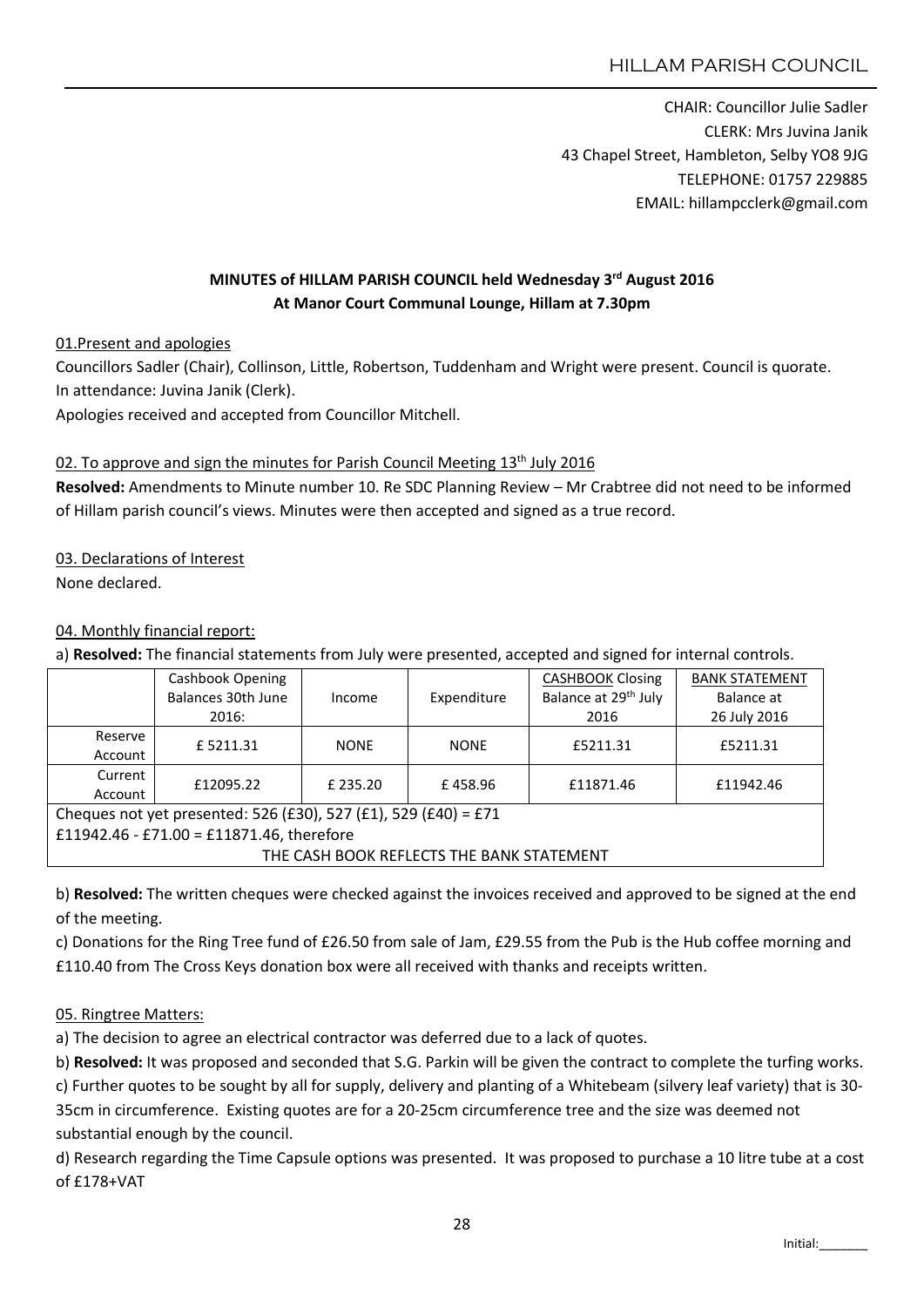CHAIR: Councillor Julie Sadler CLERK: Mrs Juvina Janik 43 Chapel Street, Hambleton, Selby YO8 9JG TELEPHONE: 01757 229885 EMAIL: hillampcclerk@gmail.com

# MINUTES of HILLAM PARISH COUNCIL held Wednesday 3rd August 2016 At Manor Court Communal Lounge, Hillam at 7.30pm

01.Present and apologies

Councillors Sadler (Chair), Collinson, Little, Robertson, Tuddenham and Wright were present. Council is quorate. In attendance: Juvina Janik (Clerk).

Apologies received and accepted from Councillor Mitchell.

### 02. To approve and sign the minutes for Parish Council Meeting  $13<sup>th</sup>$  July 2016

Resolved: Amendments to Minute number 10. Re SDC Planning Review – Mr Crabtree did not need to be informed of Hillam parish council's views. Minutes were then accepted and signed as a true record.

#### 03. Declarations of Interest

None declared.

### 04. Monthly financial report:

a) Resolved: The financial statements from July were presented, accepted and signed for internal controls.

|                                                                 | Cashbook Opening   |             |             | <b>CASHBOOK Closing</b>          | <b>BANK STATEMENT</b> |
|-----------------------------------------------------------------|--------------------|-------------|-------------|----------------------------------|-----------------------|
|                                                                 | Balances 30th June | Income      | Expenditure | Balance at 29 <sup>th</sup> July | Balance at            |
|                                                                 | 2016:              |             |             | 2016                             | 26 July 2016          |
| Reserve                                                         | £5211.31           | <b>NONE</b> | <b>NONE</b> | £5211.31                         | £5211.31              |
| Account                                                         |                    |             |             |                                  |                       |
| Current                                                         | £12095.22          | £ 235.20    | £458.96     | £11871.46                        | £11942.46             |
| Account                                                         |                    |             |             |                                  |                       |
| Cheques not yet presented: 526 (£30), 527 (£1), 529 (£40) = £71 |                    |             |             |                                  |                       |
| £11942.46 - £71.00 = £11871.46, therefore                       |                    |             |             |                                  |                       |
| THE CASH BOOK REFLECTS THE BANK STATEMENT                       |                    |             |             |                                  |                       |

b) Resolved: The written cheques were checked against the invoices received and approved to be signed at the end of the meeting.

c) Donations for the Ring Tree fund of £26.50 from sale of Jam, £29.55 from the Pub is the Hub coffee morning and £110.40 from The Cross Keys donation box were all received with thanks and receipts written.

### 05. Ringtree Matters:

a) The decision to agree an electrical contractor was deferred due to a lack of quotes.

b) Resolved: It was proposed and seconded that S.G. Parkin will be given the contract to complete the turfing works. c) Further quotes to be sought by all for supply, delivery and planting of a Whitebeam (silvery leaf variety) that is 30- 35cm in circumference. Existing quotes are for a 20-25cm circumference tree and the size was deemed not substantial enough by the council.

d) Research regarding the Time Capsule options was presented. It was proposed to purchase a 10 litre tube at a cost of £178+VAT